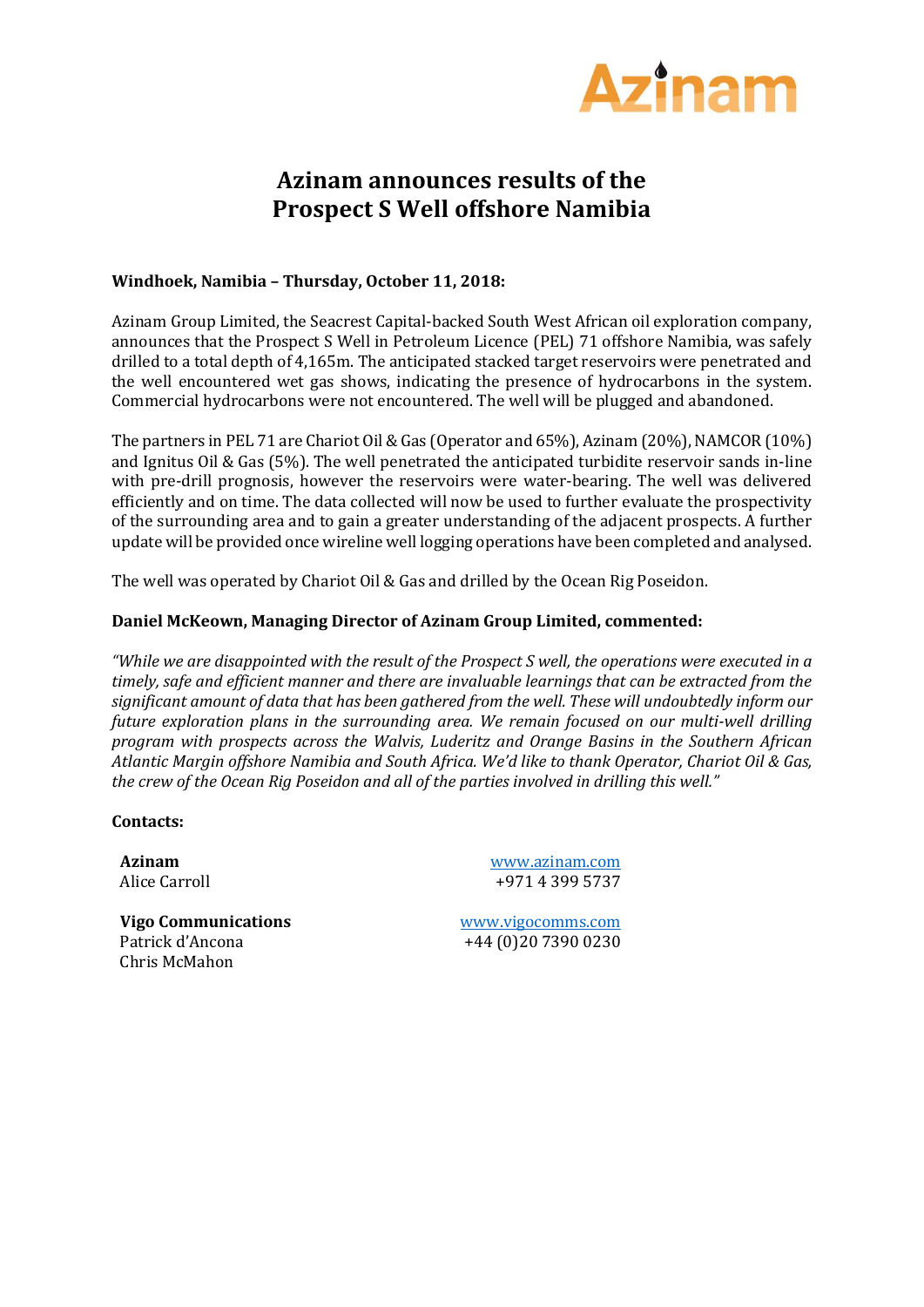

# **Azinam announces results of the Prospect S Well offshore Namibia**

## **Windhoek, Namibia – Thursday, October 11, 2018:**

Azinam Group Limited, the Seacrest Capital-backed South West African oil exploration company, announces that the Prospect S Well in Petroleum Licence (PEL) 71 offshore Namibia, was safely drilled to a total depth of 4,165m. The anticipated stacked target reservoirs were penetrated and the well encountered wet gas shows, indicating the presence of hydrocarbons in the system. Commercial hydrocarbons were not encountered. The well will be plugged and abandoned.

The partners in PEL 71 are Chariot Oil & Gas (Operator and 65%), Azinam (20%), NAMCOR (10%) and Ignitus Oil & Gas (5%). The well penetrated the anticipated turbidite reservoir sands in-line with pre-drill prognosis, however the reservoirs were water-bearing. The well was delivered efficiently and on time. The data collected will now be used to further evaluate the prospectivity of the surrounding area and to gain a greater understanding of the adjacent prospects. A further update will be provided once wireline well logging operations have been completed and analysed.

The well was operated by Chariot Oil & Gas and drilled by the Ocean Rig Poseidon.

## **Daniel McKeown, Managing Director of Azinam Group Limited, commented:**

*"While we are disappointed with the result of the Prospect S well, the operations were executed in a timely, safe and efficient manner and there are invaluable learnings that can be extracted from the significant amount of data that has been gathered from the well. These will undoubtedly inform our future exploration plans in the surrounding area. We remain focused on our multi-well drilling program with prospects across the Walvis, Luderitz and Orange Basins in the Southern African Atlantic Margin offshore Namibia and South Africa. We'd like to thank Operator, Chariot Oil & Gas, the crew of the Ocean Rig Poseidon and all of the parties involved in drilling this well."*

**Contacts:** 

**Azinam** Alice Carroll www.azinam.com +971 4 399 5737

**Vigo Communications** Patrick d'Ancona Chris McMahon

[www.vigocomms.com](http://www.vigocomms.com/) +44 (0)20 7390 0230